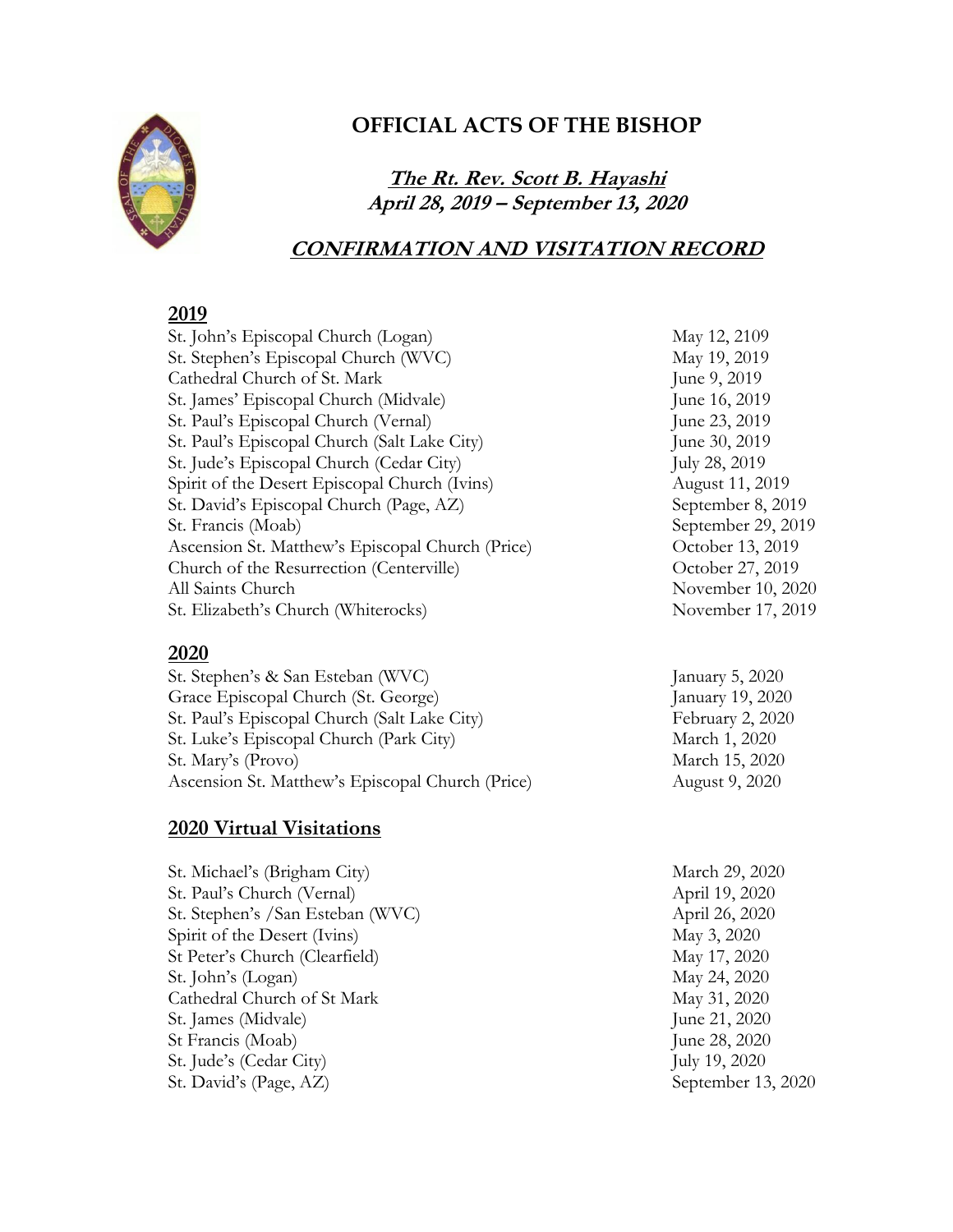

# **OFFICIAL ACTS OF THE BISHOP**

**The Rt. Rev. Scott B. Hayashi April 28, 2019 – September 13, 2020**

## **CONFIRMATION AND VISITATION RECORD**

## **2019**

| St. John's Episcopal Church (Logan)              | May 12, 2109       |
|--------------------------------------------------|--------------------|
| St. Stephen's Episcopal Church (WVC)             | May 19, 2019       |
| Cathedral Church of St. Mark                     | June 9, 2019       |
| St. James' Episcopal Church (Midvale)            | June 16, 2019      |
| St. Paul's Episcopal Church (Vernal)             | June 23, 2019      |
| St. Paul's Episcopal Church (Salt Lake City)     | June 30, 2019      |
| St. Jude's Episcopal Church (Cedar City)         | July 28, 2019      |
| Spirit of the Desert Episcopal Church (Ivins)    | August 11, 2019    |
| St. David's Episcopal Church (Page, AZ)          | September 8, 2019  |
| St. Francis (Moab)                               | September 29, 2019 |
| Ascension St. Matthew's Episcopal Church (Price) | October 13, 2019   |
| Church of the Resurrection (Centerville)         | October 27, 2019   |
| All Saints Church                                | November 10, 2020  |
| St. Elizabeth's Church (Whiterocks)              | November 17, 2019  |
|                                                  |                    |

### **2020**

St. Stephen's & San Esteban (WVC) January 5, 2020 Grace Episcopal Church (St. George) January 19, 2020 St. Paul's Episcopal Church (Salt Lake City)<br>St. Luke's Episcopal Church (Park City) March 1, 2020 St. Luke's Episcopal Church (Park City) St. Mary's (Provo) March 15, 2020 Ascension St. Matthew's Episcopal Church (Price) August 9, 2020

## **2020 Virtual Visitations**

| St. Michael's (Brigham City)     | March 29, 2020     |
|----------------------------------|--------------------|
| St. Paul's Church (Vernal)       | April 19, 2020     |
| St. Stephen's /San Esteban (WVC) | April 26, 2020     |
| Spirit of the Desert (Ivins)     | May 3, 2020        |
| St Peter's Church (Clearfield)   | May 17, 2020       |
| St. John's (Logan)               | May 24, 2020       |
| Cathedral Church of St Mark      | May 31, 2020       |
| St. James (Midvale)              | June 21, 2020      |
| St Francis (Moab)                | June 28, 2020      |
| St. Jude's (Cedar City)          | July 19, 2020      |
| St. David's (Page, AZ)           | September 13, 2020 |
|                                  |                    |